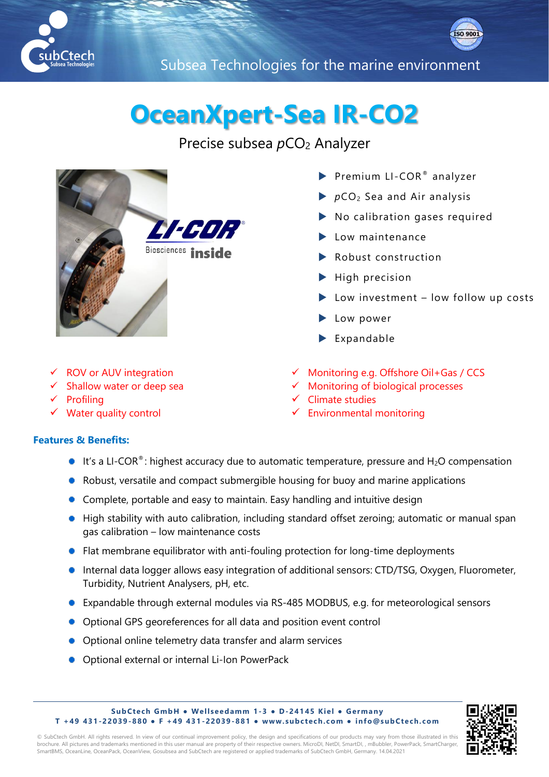



Subsea Technologies for the marine environment

## **OceanXpert-Sea IR-CO2**

Precise subsea  $pCO<sub>2</sub>$  Analyzer



- Premium LI-COR® analyzer
- *p*CO2 Sea and Air analysis

Monitoring e.g. Offshore Oil+Gas / CCS Monitoring of biological processes

- No calibration gases required
- Low maintenance
- Robust construction
- $\blacktriangleright$  High precision
- Low investment low follow up costs
- Low power
- Expandable

Environmental monitoring

✓ Climate studies

- ✓ ROV or AUV integration
- Shallow water or deep sea
- **Profiling**
- ✓ Water quality control

## **Features & Benefits:**

- It's a LI-COR®: highest accuracy due to automatic temperature, pressure and H<sub>2</sub>O compensation
- Robust, versatile and compact submergible housing for buoy and marine applications
- Complete, portable and easy to maintain. Easy handling and intuitive design
- High stability with auto calibration, including standard offset zeroing; automatic or manual span gas calibration – low maintenance costs
- Flat membrane equilibrator with anti-fouling protection for long-time deployments
- **Internal data logger allows easy integration of additional sensors: CTD/TSG, Oxygen, Fluorometer,** Turbidity, Nutrient Analysers, pH, etc.
- Expandable through external modules via RS-485 MODBUS, e.g. for meteorological sensors
- Optional GPS georeferences for all data and position event control
- Optional online telemetry data transfer and alarm services
- **Optional external or internal Li-Ion PowerPack**





© SubCtech GmbH. All rights reserved. In view of our continual improvement policy, the design and specifications of our products may vary from those illustrated in this brochure. All pictures and trademarks mentioned in this user manual are property of their respective owners. MicroDI, NetDI, SmartDI, , mBubbler, PowerPack, SmartCharger, SmartBMS, OceanLine, OceanPack, OceanView, Gosubsea and SubCtech are registered or applied trademarks of SubCtech GmbH, Germany. 14.04.2021